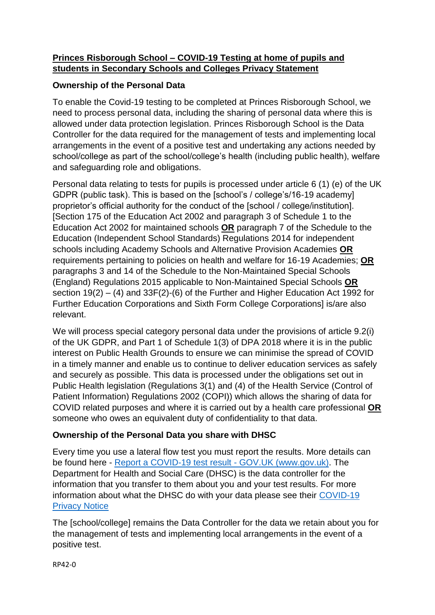#### **Princes Risborough School – COVID-19 Testing at home of pupils and students in Secondary Schools and Colleges Privacy Statement**

# **Ownership of the Personal Data**

To enable the Covid-19 testing to be completed at Princes Risborough School, we need to process personal data, including the sharing of personal data where this is allowed under data protection legislation. Princes Risborough School is the Data Controller for the data required for the management of tests and implementing local arrangements in the event of a positive test and undertaking any actions needed by school/college as part of the school/college's health (including public health), welfare and safeguarding role and obligations.

Personal data relating to tests for pupils is processed under article 6 (1) (e) of the UK GDPR (public task). This is based on the [school's / college's/16-19 academy] proprietor's official authority for the conduct of the [school / college/institution]. [Section 175 of the Education Act 2002 and paragraph 3 of Schedule 1 to the Education Act 2002 for maintained schools **OR** paragraph 7 of the Schedule to the Education (Independent School Standards) Regulations 2014 for independent schools including Academy Schools and Alternative Provision Academies **OR** requirements pertaining to policies on health and welfare for 16-19 Academies; **OR** paragraphs 3 and 14 of the Schedule to the Non-Maintained Special Schools (England) Regulations 2015 applicable to Non-Maintained Special Schools **OR** section 19(2) – (4) and 33F(2)-(6) of the Further and Higher Education Act 1992 for Further Education Corporations and Sixth Form College Corporations] is/are also relevant.

We will process special category personal data under the provisions of article 9.2(i) of the UK GDPR, and Part 1 of Schedule 1(3) of DPA 2018 where it is in the public interest on Public Health Grounds to ensure we can minimise the spread of COVID in a timely manner and enable us to continue to deliver education services as safely and securely as possible. This data is processed under the obligations set out in Public Health legislation (Regulations 3(1) and (4) of the Health Service (Control of Patient Information) Regulations 2002 (COPI)) which allows the sharing of data for COVID related purposes and where it is carried out by a health care professional **OR** someone who owes an equivalent duty of confidentiality to that data.

# **Ownership of the Personal Data you share with DHSC**

Every time you use a lateral flow test you must report the results. More details can be found here - [Report a COVID-19 test result -](https://www.gov.uk/report-covid19-result) GOV.UK (www.gov.uk). The Department for Health and Social Care (DHSC) is the data controller for the information that you transfer to them about you and your test results. For more information about what the DHSC do with your data please see their [COVID-19](https://www.gov.uk/government/publications/coronavirus-covid-19-testing-privacy-information)  [Privacy Notice](https://www.gov.uk/government/publications/coronavirus-covid-19-testing-privacy-information)

The [school/college] remains the Data Controller for the data we retain about you for the management of tests and implementing local arrangements in the event of a positive test.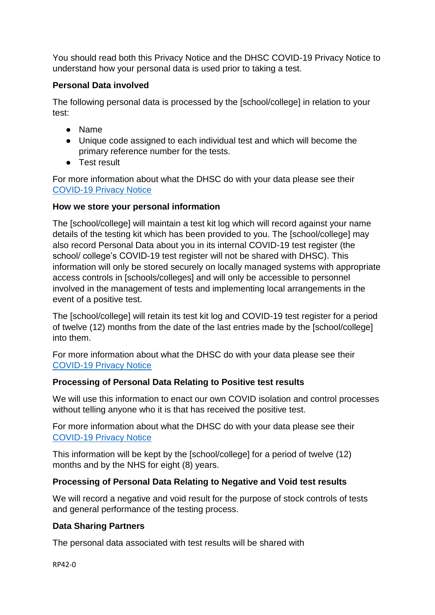You should read both this Privacy Notice and the DHSC COVID-19 Privacy Notice to understand how your personal data is used prior to taking a test.

# **Personal Data involved**

The following personal data is processed by the [school/college] in relation to your test:

- Name
- Unique code assigned to each individual test and which will become the primary reference number for the tests.
- Test result

For more information about what the DHSC do with your data please see their [COVID-19 Privacy Notice](https://www.gov.uk/government/publications/coronavirus-covid-19-testing-privacy-information)

#### **How we store your personal information**

The [school/college] will maintain a test kit log which will record against your name details of the testing kit which has been provided to you. The [school/college] may also record Personal Data about you in its internal COVID-19 test register (the school/ college's COVID-19 test register will not be shared with DHSC). This information will only be stored securely on locally managed systems with appropriate access controls in [schools/colleges] and will only be accessible to personnel involved in the management of tests and implementing local arrangements in the event of a positive test.

The [school/college] will retain its test kit log and COVID-19 test register for a period of twelve (12) months from the date of the last entries made by the [school/college] into them.

For more information about what the DHSC do with your data please see their [COVID-19 Privacy Notice](https://www.gov.uk/government/publications/coronavirus-covid-19-testing-privacy-information)

# **Processing of Personal Data Relating to Positive test results**

We will use this information to enact our own COVID isolation and control processes without telling anyone who it is that has received the positive test.

For more information about what the DHSC do with your data please see their [COVID-19 Privacy Notice](https://www.gov.uk/government/publications/coronavirus-covid-19-testing-privacy-information)

This information will be kept by the [school/college] for a period of twelve (12) months and by the NHS for eight (8) years.

# **Processing of Personal Data Relating to Negative and Void test results**

We will record a negative and void result for the purpose of stock controls of tests and general performance of the testing process.

#### **Data Sharing Partners**

The personal data associated with test results will be shared with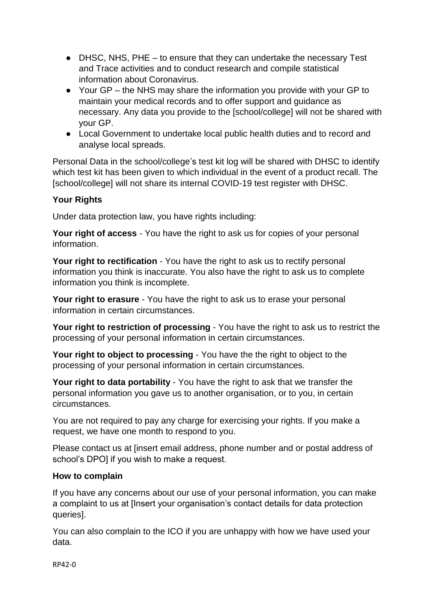- DHSC, NHS, PHE to ensure that they can undertake the necessary Test and Trace activities and to conduct research and compile statistical information about Coronavirus.
- Your GP the NHS may share the information you provide with your GP to maintain your medical records and to offer support and guidance as necessary. Any data you provide to the [school/college] will not be shared with your GP.
- Local Government to undertake local public health duties and to record and analyse local spreads.

Personal Data in the school/college's test kit log will be shared with DHSC to identify which test kit has been given to which individual in the event of a product recall. The [school/college] will not share its internal COVID-19 test register with DHSC.

#### **Your Rights**

Under data protection law, you have rights including:

**Your right of access** - You have the right to ask us for copies of your personal information.

**Your right to rectification** - You have the right to ask us to rectify personal information you think is inaccurate. You also have the right to ask us to complete information you think is incomplete.

**Your right to erasure** - You have the right to ask us to erase your personal information in certain circumstances.

**Your right to restriction of processing** - You have the right to ask us to restrict the processing of your personal information in certain circumstances.

**Your right to object to processing** - You have the the right to object to the processing of your personal information in certain circumstances.

**Your right to data portability** - You have the right to ask that we transfer the personal information you gave us to another organisation, or to you, in certain circumstances.

You are not required to pay any charge for exercising your rights. If you make a request, we have one month to respond to you.

Please contact us at [insert email address, phone number and or postal address of school's DPO] if you wish to make a request.

#### **How to complain**

If you have any concerns about our use of your personal information, you can make a complaint to us at [Insert your organisation's contact details for data protection queries].

You can also complain to the ICO if you are unhappy with how we have used your data.